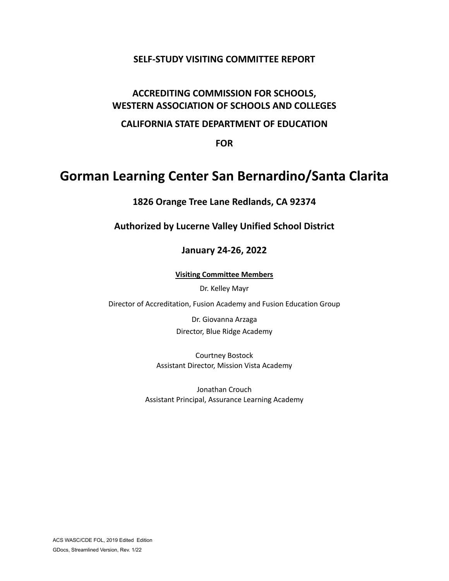# **SELF-STUDY VISITING COMMITTEE REPORT**

# **ACCREDITING COMMISSION FOR SCHOOLS, WESTERN ASSOCIATION OF SCHOOLS AND COLLEGES**

# **CALIFORNIA STATE DEPARTMENT OF EDUCATION**

**FOR**

# **Gorman Learning Center San Bernardino/Santa Clarita**

**1826 Orange Tree Lane Redlands, CA 92374**

**Authorized by Lucerne Valley Unified School District**

# **January 24-26, 2022**

**Visiting Committee Members**

Dr. Kelley Mayr

Director of Accreditation, Fusion Academy and Fusion Education Group

Dr. Giovanna Arzaga Director, Blue Ridge Academy

Courtney Bostock Assistant Director, Mission Vista Academy

Jonathan Crouch Assistant Principal, Assurance Learning Academy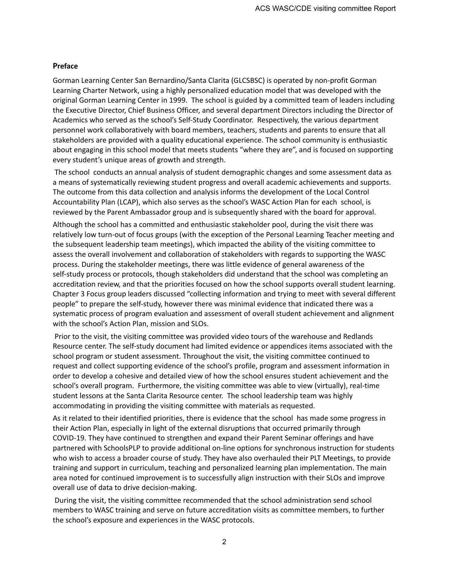#### **Preface**

Gorman Learning Center San Bernardino/Santa Clarita (GLCSBSC) is operated by non-profit Gorman Learning Charter Network, using a highly personalized education model that was developed with the original Gorman Learning Center in 1999. The school is guided by a committed team of leaders including the Executive Director, Chief Business Officer, and several department Directors including the Director of Academics who served as the school's Self-Study Coordinator. Respectively, the various department personnel work collaboratively with board members, teachers, students and parents to ensure that all stakeholders are provided with a quality educational experience. The school community is enthusiastic about engaging in this school model that meets students "where they are", and is focused on supporting every student's unique areas of growth and strength.

The school conducts an annual analysis of student demographic changes and some assessment data as a means of systematically reviewing student progress and overall academic achievements and supports. The outcome from this data collection and analysis informs the development of the Local Control Accountability Plan (LCAP), which also serves as the school's WASC Action Plan for each school, is reviewed by the Parent Ambassador group and is subsequently shared with the board for approval.

Although the school has a committed and enthusiastic stakeholder pool, during the visit there was relatively low turn-out of focus groups (with the exception of the Personal Learning Teacher meeting and the subsequent leadership team meetings), which impacted the ability of the visiting committee to assess the overall involvement and collaboration of stakeholders with regards to supporting the WASC process. During the stakeholder meetings, there was little evidence of general awareness of the self-study process or protocols, though stakeholders did understand that the school was completing an accreditation review, and that the priorities focused on how the school supports overall student learning. Chapter 3 Focus group leaders discussed "collecting information and trying to meet with several different people" to prepare the self-study, however there was minimal evidence that indicated there was a systematic process of program evaluation and assessment of overall student achievement and alignment with the school's Action Plan, mission and SLOs.

Prior to the visit, the visiting committee was provided video tours of the warehouse and Redlands Resource center. The self-study document had limited evidence or appendices items associated with the school program or student assessment. Throughout the visit, the visiting committee continued to request and collect supporting evidence of the school's profile, program and assessment information in order to develop a cohesive and detailed view of how the school ensures student achievement and the school's overall program. Furthermore, the visiting committee was able to view (virtually), real-time student lessons at the Santa Clarita Resource center. The school leadership team was highly accommodating in providing the visiting committee with materials as requested.

As it related to their identified priorities, there is evidence that the school has made some progress in their Action Plan, especially in light of the external disruptions that occurred primarily through COVID-19. They have continued to strengthen and expand their Parent Seminar offerings and have partnered with SchoolsPLP to provide additional on-line options for synchronous instruction for students who wish to access a broader course of study. They have also overhauled their PLT Meetings, to provide training and support in curriculum, teaching and personalized learning plan implementation. The main area noted for continued improvement is to successfully align instruction with their SLOs and improve overall use of data to drive decision-making.

During the visit, the visiting committee recommended that the school administration send school members to WASC training and serve on future accreditation visits as committee members, to further the school's exposure and experiences in the WASC protocols.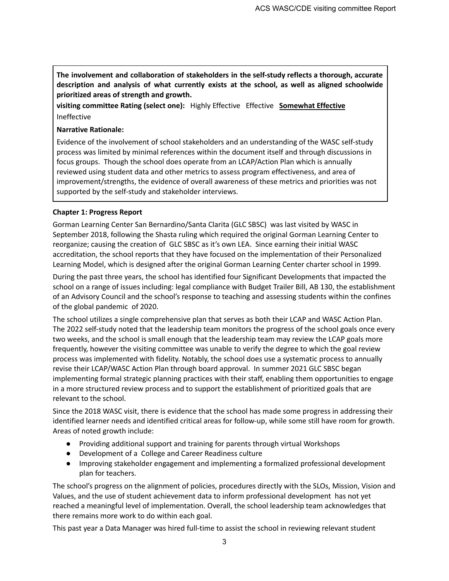**The involvement and collaboration of stakeholders in the self-study reflects a thorough, accurate description and analysis of what currently exists at the school, as well as aligned schoolwide prioritized areas of strength and growth.**

**visiting committee Rating (select one):** Highly Effective Effective **Somewhat Effective** Ineffective

#### **Narrative Rationale:**

Evidence of the involvement of school stakeholders and an understanding of the WASC self-study process was limited by minimal references within the document itself and through discussions in focus groups. Though the school does operate from an LCAP/Action Plan which is annually reviewed using student data and other metrics to assess program effectiveness, and area of improvement/strengths, the evidence of overall awareness of these metrics and priorities was not supported by the self-study and stakeholder interviews.

#### **Chapter 1: Progress Report**

Gorman Learning Center San Bernardino/Santa Clarita (GLC SBSC) was last visited by WASC in September 2018, following the Shasta ruling which required the original Gorman Learning Center to reorganize; causing the creation of GLC SBSC as it's own LEA. Since earning their initial WASC accreditation, the school reports that they have focused on the implementation of their Personalized Learning Model, which is designed after the original Gorman Learning Center charter school in 1999.

During the past three years, the school has identified four Significant Developments that impacted the school on a range of issues including: legal compliance with Budget Trailer Bill, AB 130, the establishment of an Advisory Council and the school's response to teaching and assessing students within the confines of the global pandemic of 2020.

The school utilizes a single comprehensive plan that serves as both their LCAP and WASC Action Plan. The 2022 self-study noted that the leadership team monitors the progress of the school goals once every two weeks, and the school is small enough that the leadership team may review the LCAP goals more frequently, however the visiting committee was unable to verify the degree to which the goal review process was implemented with fidelity. Notably, the school does use a systematic process to annually revise their LCAP/WASC Action Plan through board approval. In summer 2021 GLC SBSC began implementing formal strategic planning practices with their staff, enabling them opportunities to engage in a more structured review process and to support the establishment of prioritized goals that are relevant to the school.

Since the 2018 WASC visit, there is evidence that the school has made some progress in addressing their identified learner needs and identified critical areas for follow-up, while some still have room for growth. Areas of noted growth include:

- Providing additional support and training for parents through virtual Workshops
- Development of a College and Career Readiness culture
- Improving stakeholder engagement and implementing a formalized professional development plan for teachers.

The school's progress on the alignment of policies, procedures directly with the SLOs, Mission, Vision and Values, and the use of student achievement data to inform professional development has not yet reached a meaningful level of implementation. Overall, the school leadership team acknowledges that there remains more work to do within each goal.

This past year a Data Manager was hired full-time to assist the school in reviewing relevant student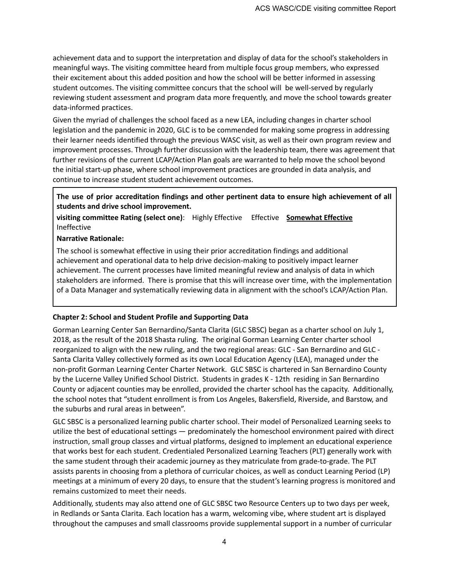achievement data and to support the interpretation and display of data for the school's stakeholders in meaningful ways. The visiting committee heard from multiple focus group members, who expressed their excitement about this added position and how the school will be better informed in assessing student outcomes. The visiting committee concurs that the school will be well-served by regularly reviewing student assessment and program data more frequently, and move the school towards greater data-informed practices.

Given the myriad of challenges the school faced as a new LEA, including changes in charter school legislation and the pandemic in 2020, GLC is to be commended for making some progress in addressing their learner needs identified through the previous WASC visit, as well as their own program review and improvement processes. Through further discussion with the leadership team, there was agreement that further revisions of the current LCAP/Action Plan goals are warranted to help move the school beyond the initial start-up phase, where school improvement practices are grounded in data analysis, and continue to increase student student achievement outcomes.

## **The use of prior accreditation findings and other pertinent data to ensure high achievement of all students and drive school improvement.**

**visiting committee Rating (select one)**: Highly Effective Effective **Somewhat Effective** Ineffective

**Narrative Rationale:**

The school is somewhat effective in using their prior accreditation findings and additional achievement and operational data to help drive decision-making to positively impact learner achievement. The current processes have limited meaningful review and analysis of data in which stakeholders are informed. There is promise that this will increase over time, with the implementation of a Data Manager and systematically reviewing data in alignment with the school's LCAP/Action Plan.

#### **Chapter 2: School and Student Profile and Supporting Data**

Gorman Learning Center San Bernardino/Santa Clarita (GLC SBSC) began as a charter school on July 1, 2018, as the result of the 2018 Shasta ruling. The original Gorman Learning Center charter school reorganized to align with the new ruling, and the two regional areas: GLC - San Bernardino and GLC - Santa Clarita Valley collectively formed as its own Local Education Agency (LEA), managed under the non-profit Gorman Learning Center Charter Network. GLC SBSC is chartered in San Bernardino County by the Lucerne Valley Unified School District. Students in grades K - 12th residing in San Bernardino County or adjacent counties may be enrolled, provided the charter school has the capacity. Additionally, the school notes that "student enrollment is from Los Angeles, Bakersfield, Riverside, and Barstow, and the suburbs and rural areas in between".

GLC SBSC is a personalized learning public charter school. Their model of Personalized Learning seeks to utilize the best of educational settings — predominately the homeschool environment paired with direct instruction, small group classes and virtual platforms, designed to implement an educational experience that works best for each student. Credentialed Personalized Learning Teachers (PLT) generally work with the same student through their academic journey as they matriculate from grade-to-grade. The PLT assists parents in choosing from a plethora of curricular choices, as well as conduct Learning Period (LP) meetings at a minimum of every 20 days, to ensure that the student's learning progress is monitored and remains customized to meet their needs.

Additionally, students may also attend one of GLC SBSC two Resource Centers up to two days per week, in Redlands or Santa Clarita. Each location has a warm, welcoming vibe, where student art is displayed throughout the campuses and small classrooms provide supplemental support in a number of curricular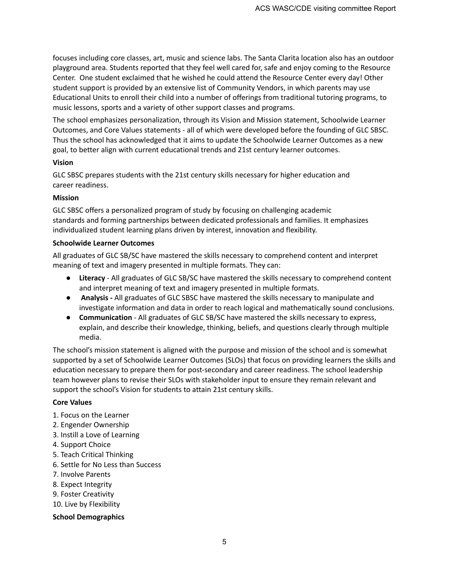focuses including core classes, art, music and science labs. The Santa Clarita location also has an outdoor playground area. Students reported that they feel well cared for, safe and enjoy coming to the Resource Center. One student exclaimed that he wished he could attend the Resource Center every day! Other student support is provided by an extensive list of Community Vendors, in which parents may use Educational Units to enroll their child into a number of offerings from traditional tutoring programs, to music lessons, sports and a variety of other support classes and programs.

The school emphasizes personalization, through its Vision and Mission statement, Schoolwide Learner Outcomes, and Core Values statements - all of which were developed before the founding of GLC SBSC. Thus the school has acknowledged that it aims to update the Schoolwide Learner Outcomes as a new goal, to better align with current educational trends and 21st century learner outcomes.

#### **Vision**

GLC SBSC prepares students with the 21st century skills necessary for higher education and career readiness.

#### **Mission**

GLC SBSC offers a personalized program of study by focusing on challenging academic standards and forming partnerships between dedicated professionals and families. It emphasizes individualized student learning plans driven by interest, innovation and flexibility.

#### **Schoolwide Learner Outcomes**

All graduates of GLC SB/SC have mastered the skills necessary to comprehend content and interpret meaning of text and imagery presented in multiple formats. They can:

- **Literacy** All graduates of GLC SB/SC have mastered the skills necessary to comprehend content and interpret meaning of text and imagery presented in multiple formats.
- **Analysis -** All graduates of GLC SBSC have mastered the skills necessary to manipulate and investigate information and data in order to reach logical and mathematically sound conclusions.
- **Communication** All graduates of GLC SB/SC have mastered the skills necessary to express, explain, and describe their knowledge, thinking, beliefs, and questions clearly through multiple media.

The school's mission statement is aligned with the purpose and mission of the school and is somewhat supported by a set of Schoolwide Learner Outcomes (SLOs) that focus on providing learners the skills and education necessary to prepare them for post-secondary and career readiness. The school leadership team however plans to revise their SLOs with stakeholder input to ensure they remain relevant and support the school's Vision for students to attain 21st century skills.

#### **Core Values**

- 1. Focus on the Learner
- 2. Engender Ownership
- 3. Instill a Love of Learning
- 4. Support Choice
- 5. Teach Critical Thinking
- 6. Settle for No Less than Success
- 7. Involve Parents
- 8. Expect Integrity
- 9. Foster Creativity
- 10. Live by Flexibility

#### **School Demographics**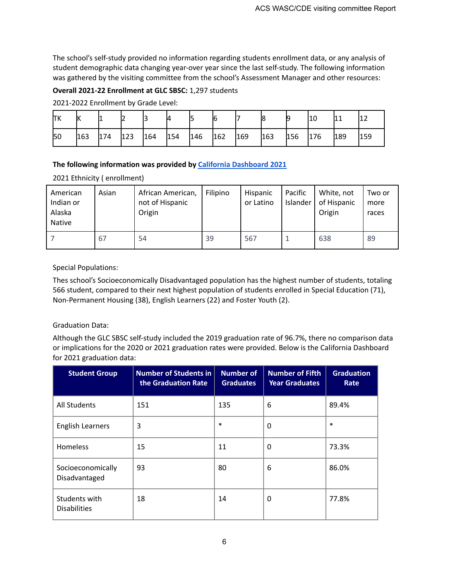The school's self-study provided no information regarding students enrollment data, or any analysis of student demographic data changing year-over year since the last self-study. The following information was gathered by the visiting committee from the school's Assessment Manager and other resources:

#### **Overall 2021-22 Enrollment at GLC SBSC:** 1,297 students

2021-2022 Enrollment by Grade Level:

| lТK | lК  |     |     |     | и   |     | 16  |     |     |     | 10  | 11  | -   |
|-----|-----|-----|-----|-----|-----|-----|-----|-----|-----|-----|-----|-----|-----|
| 50  | 163 | 174 | 123 | 164 | 154 | 146 | 162 | 169 | 163 | 156 | 176 | 189 | 159 |

## **The following information was provided by California [Dashboard](https://www.caschooldashboard.org/reports/36750510137794/2021/academic-performance) 2021**

2021 Ethnicity ( enrollment)

| American<br>Indian or<br>Alaska<br>Native | Asian | African American,<br>not of Hispanic<br>Origin | Filipino | Hispanic<br>or Latino | Pacific<br>Islander | White, not<br>of Hispanic<br>Origin | Two or<br>more<br>races |
|-------------------------------------------|-------|------------------------------------------------|----------|-----------------------|---------------------|-------------------------------------|-------------------------|
|                                           | 67    | 54                                             | 39       | 567                   |                     | 638                                 | 89                      |

## Special Populations:

Thes school's Socioeconomically Disadvantaged population has the highest number of students, totaling 566 student, compared to their next highest population of students enrolled in Special Education (71), Non-Permanent Housing (38), English Learners (22) and Foster Youth (2).

# Graduation Data:

Although the GLC SBSC self-study included the 2019 graduation rate of 96.7%, there no comparison data or implications for the 2020 or 2021 graduation rates were provided. Below is the California Dashboard for 2021 graduation data:

| <b>Student Group</b>                 | <b>Number of Students in</b><br>the Graduation Rate | <b>Number of</b><br><b>Graduates</b> | <b>Number of Fifth</b><br><b>Year Graduates</b> | <b>Graduation</b><br>Rate |
|--------------------------------------|-----------------------------------------------------|--------------------------------------|-------------------------------------------------|---------------------------|
| <b>All Students</b>                  | 151                                                 | 135                                  | 6                                               | 89.4%                     |
| <b>English Learners</b>              | 3                                                   | $\ast$                               | 0                                               | $\ast$                    |
| <b>Homeless</b>                      | 15                                                  | 11                                   | 0                                               | 73.3%                     |
| Socioeconomically<br>Disadvantaged   | 93                                                  | 80                                   | 6                                               | 86.0%                     |
| Students with<br><b>Disabilities</b> | 18                                                  | 14                                   | 0                                               | 77.8%                     |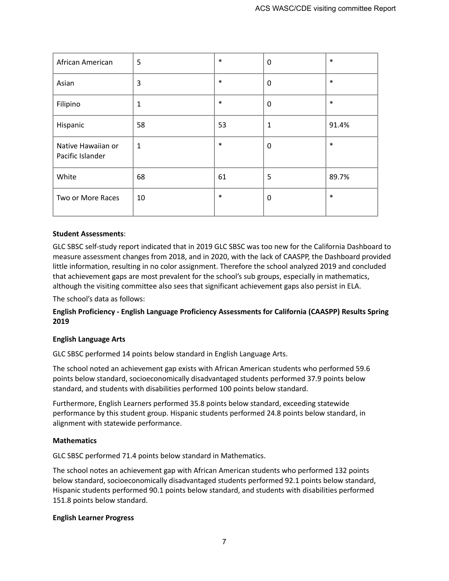| African American                       | 5            | $\ast$ | $\mathbf 0$ | $\ast$ |
|----------------------------------------|--------------|--------|-------------|--------|
| Asian                                  | 3            | $\ast$ | 0           | $\ast$ |
| Filipino                               | 1            | $\ast$ | $\mathbf 0$ | $\ast$ |
| Hispanic                               | 58           | 53     | 1           | 91.4%  |
| Native Hawaiian or<br>Pacific Islander | $\mathbf{1}$ | $\ast$ | $\mathbf 0$ | $\ast$ |
| White                                  | 68           | 61     | 5           | 89.7%  |
| Two or More Races                      | 10           | $\ast$ | $\mathbf 0$ | $\ast$ |

#### **Student Assessments**:

GLC SBSC self-study report indicated that in 2019 GLC SBSC was too new for the California Dashboard to measure assessment changes from 2018, and in 2020, with the lack of CAASPP, the Dashboard provided little information, resulting in no color assignment. Therefore the school analyzed 2019 and concluded that achievement gaps are most prevalent for the school's sub groups, especially in mathematics, although the visiting committee also sees that significant achievement gaps also persist in ELA.

The school's data as follows:

## **English Proficiency - English Language Proficiency Assessments for California (CAASPP) Results Spring 2019**

#### **English Language Arts**

GLC SBSC performed 14 points below standard in English Language Arts.

The school noted an achievement gap exists with African American students who performed 59.6 points below standard, socioeconomically disadvantaged students performed 37.9 points below standard, and students with disabilities performed 100 points below standard.

Furthermore, English Learners performed 35.8 points below standard, exceeding statewide performance by this student group. Hispanic students performed 24.8 points below standard, in alignment with statewide performance.

#### **Mathematics**

GLC SBSC performed 71.4 points below standard in Mathematics.

The school notes an achievement gap with African American students who performed 132 points below standard, socioeconomically disadvantaged students performed 92.1 points below standard, Hispanic students performed 90.1 points below standard, and students with disabilities performed 151.8 points below standard.

#### **English Learner Progress**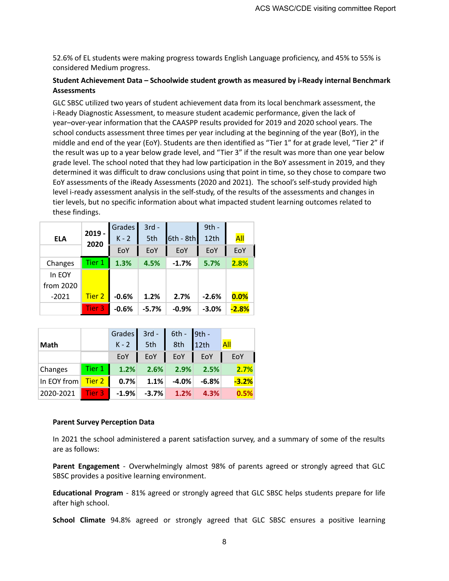52.6% of EL students were making progress towards English Language proficiency, and 45% to 55% is considered Medium progress.

#### **Student Achievement Data – Schoolwide student growth as measured by i-Ready internal Benchmark Assessments**

GLC SBSC utilized two years of student achievement data from its local benchmark assessment, the i-Ready Diagnostic Assessment, to measure student academic performance, given the lack of year–over-year information that the CAASPP results provided for 2019 and 2020 school years. The school conducts assessment three times per year including at the beginning of the year (BoY), in the middle and end of the year (EoY). Students are then identified as "Tier 1" for at grade level, "Tier 2" if the result was up to a year below grade level, and "Tier 3" if the result was more than one year below grade level. The school noted that they had low participation in the BoY assessment in 2019, and they determined it was difficult to draw conclusions using that point in time, so they chose to compare two EoY assessments of the iReady Assessments (2020 and 2021). The school's self-study provided high level i-ready assessment analysis in the self-study, of the results of the assessments and changes in tier levels, but no specific information about what impacted student learning outcomes related to these findings.

|            |                  | <b>Grades</b> | $3rd -$ |             | $9th -$ |         |
|------------|------------------|---------------|---------|-------------|---------|---------|
| <b>ELA</b> | $2019 -$<br>2020 | $K - 2$       | 5th     | $6th - 8th$ | 12th    | All     |
|            |                  | EoY           | EoY     | EoY         | EoY     | EoY     |
| Changes    | Tier 1           | 1.3%          | 4.5%    | $-1.7%$     | 5.7%    | 2.8%    |
| In EOY     |                  |               |         |             |         |         |
| from 2020  |                  |               |         |             |         |         |
| $-2021$    | Tier 2           | $-0.6%$       | 1.2%    | 2.7%        | $-2.6%$ | 0.0%    |
|            | Tier 3           | $-0.6%$       | $-5.7%$ | $-0.9%$     | $-3.0%$ | $-2.8%$ |

|                                 |        |         | Grades $3rd - 6th - 9th - 12th$<br>K-2 5th 8th 12th                                      |                 |                  |
|---------------------------------|--------|---------|------------------------------------------------------------------------------------------|-----------------|------------------|
| Math                            |        |         |                                                                                          |                 | $\overline{All}$ |
|                                 |        | EoY     |                                                                                          | EoY   EoY   EoY | EoY              |
| Changes                         | Tier 1 |         | $1.2\%$ 2.6% 2.9% 2.5%                                                                   |                 | 2.7%             |
| In EOY from <mark>Tier 2</mark> |        |         | $\begin{array}{ c c c c c c } \hline 0.7\% & 1.1\% & -4.0\% & -6.8\% \hline \end{array}$ |                 | $-3.2%$          |
| 2020-2021 Tier 3                |        | $-1.9%$ | $-3.7\%$ 1.2%                                                                            | 4.3%            | 0.5%             |

#### **Parent Survey Perception Data**

In 2021 the school administered a parent satisfaction survey, and a summary of some of the results are as follows:

**Parent Engagement** - Overwhelmingly almost 98% of parents agreed or strongly agreed that GLC SBSC provides a positive learning environment.

**Educational Program** - 81% agreed or strongly agreed that GLC SBSC helps students prepare for life after high school.

**School Climate** 94.8% agreed or strongly agreed that GLC SBSC ensures a positive learning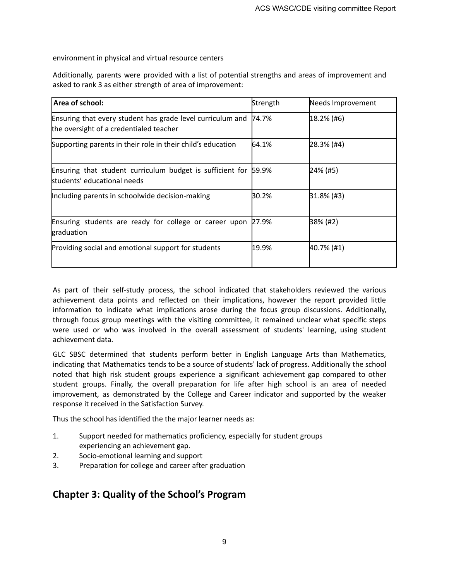environment in physical and virtual resource centers

Additionally, parents were provided with a list of potential strengths and areas of improvement and asked to rank 3 as either strength of area of improvement:

| Area of school:                                                                                       | Strength | Needs Improvement |
|-------------------------------------------------------------------------------------------------------|----------|-------------------|
| Ensuring that every student has grade level curriculum and<br>the oversight of a credentialed teacher | 74.7%    | $18.2%$ (#6)      |
| Supporting parents in their role in their child's education                                           | 64.1%    | 28.3% (#4)        |
| Ensuring that student curriculum budget is sufficient for 59.9%<br>students' educational needs        |          | 24% (#5)          |
| Including parents in schoolwide decision-making                                                       | 30.2%    | $31.8\%$ (#3)     |
| Ensuring students are ready for college or career upon<br>graduation                                  | 27.9%    | <b>B8% (#2)</b>   |
| Providing social and emotional support for students                                                   | 19.9%    | $40.7\%$ (#1)     |

As part of their self-study process, the school indicated that stakeholders reviewed the various achievement data points and reflected on their implications, however the report provided little information to indicate what implications arose during the focus group discussions. Additionally, through focus group meetings with the visiting committee, it remained unclear what specific steps were used or who was involved in the overall assessment of students' learning, using student achievement data.

GLC SBSC determined that students perform better in English Language Arts than Mathematics, indicating that Mathematics tends to be a source of students' lack of progress. Additionally the school noted that high risk student groups experience a significant achievement gap compared to other student groups. Finally, the overall preparation for life after high school is an area of needed improvement, as demonstrated by the College and Career indicator and supported by the weaker response it received in the Satisfaction Survey.

Thus the school has identified the the major learner needs as:

- 1. Support needed for mathematics proficiency, especially for student groups experiencing an achievement gap.
- 2. Socio-emotional learning and support
- 3. Preparation for college and career after graduation

# **Chapter 3: Quality of the School's Program**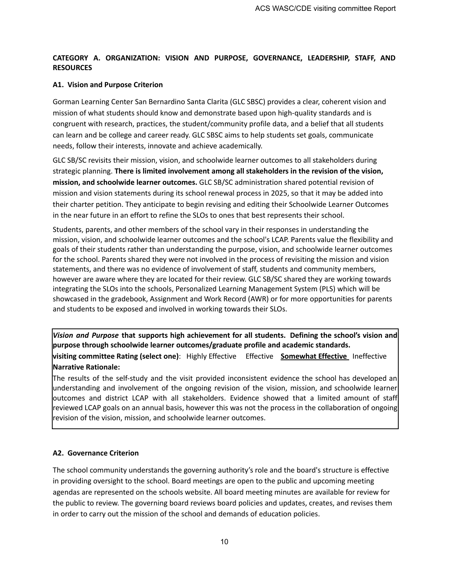# **CATEGORY A. ORGANIZATION: VISION AND PURPOSE, GOVERNANCE, LEADERSHIP, STAFF, AND RESOURCES**

#### **A1. Vision and Purpose Criterion**

Gorman Learning Center San Bernardino Santa Clarita (GLC SBSC) provides a clear, coherent vision and mission of what students should know and demonstrate based upon high-quality standards and is congruent with research, practices, the student/community profile data, and a belief that all students can learn and be college and career ready. GLC SBSC aims to help students set goals, communicate needs, follow their interests, innovate and achieve academically.

GLC SB/SC revisits their mission, vision, and schoolwide learner outcomes to all stakeholders during strategic planning. **There is limited involvement among all stakeholders in the revision of the vision, mission, and schoolwide learner outcomes.** GLC SB/SC administration shared potential revision of mission and vision statements during its school renewal process in 2025, so that it may be added into their charter petition. They anticipate to begin revising and editing their Schoolwide Learner Outcomes in the near future in an effort to refine the SLOs to ones that best represents their school.

Students, parents, and other members of the school vary in their responses in understanding the mission, vision, and schoolwide learner outcomes and the school's LCAP. Parents value the flexibility and goals of their students rather than understanding the purpose, vision, and schoolwide learner outcomes for the school. Parents shared they were not involved in the process of revisiting the mission and vision statements, and there was no evidence of involvement of staff, students and community members, however are aware where they are located for their review. GLC SB/SC shared they are working towards integrating the SLOs into the schools, Personalized Learning Management System (PLS) which will be showcased in the gradebook, Assignment and Work Record (AWR) or for more opportunities for parents and students to be exposed and involved in working towards their SLOs.

*Vision and Purpose* **that supports high achievement for all students. Defining the school's vision and purpose through schoolwide learner outcomes/graduate profile and academic standards.**

**visiting committee Rating (select one)**: Highly Effective Effective **Somewhat Effective** Ineffective **Narrative Rationale:**

The results of the self-study and the visit provided inconsistent evidence the school has developed an understanding and involvement of the ongoing revision of the vision, mission, and schoolwide learner outcomes and district LCAP with all stakeholders. Evidence showed that a limited amount of staff reviewed LCAP goals on an annual basis, however this was not the process in the collaboration of ongoing revision of the vision, mission, and schoolwide learner outcomes.

#### **A2. Governance Criterion**

The school community understands the governing authority's role and the board's structure is effective in providing oversight to the school. Board meetings are open to the public and upcoming meeting agendas are represented on the schools website. All board meeting minutes are available for review for the public to review. The governing board reviews board policies and updates, creates, and revises them in order to carry out the mission of the school and demands of education policies.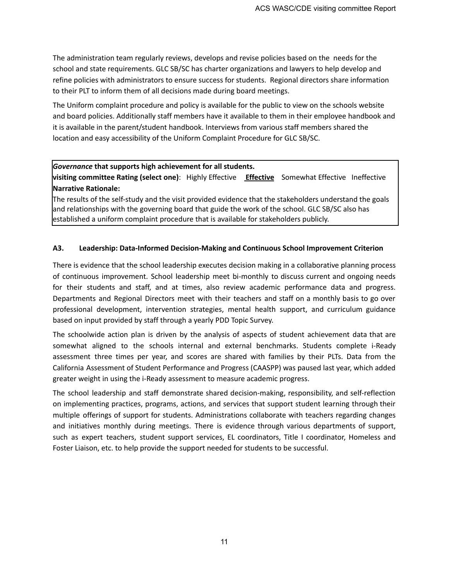The administration team regularly reviews, develops and revise policies based on the needs for the school and state requirements. GLC SB/SC has charter organizations and lawyers to help develop and refine policies with administrators to ensure success for students. Regional directors share information to their PLT to inform them of all decisions made during board meetings.

The Uniform complaint procedure and policy is available for the public to view on the schools website and board policies. Additionally staff members have it available to them in their employee handbook and it is available in the parent/student handbook. Interviews from various staff members shared the location and easy accessibility of the Uniform Complaint Procedure for GLC SB/SC.

#### *Governance* **that supports high achievement for all students.**

**visiting committee Rating (select one)**: Highly Effective **Effective** Somewhat Effective Ineffective **Narrative Rationale:**

The results of the self-study and the visit provided evidence that the stakeholders understand the goals and relationships with the governing board that guide the work of the school. GLC SB/SC also has established a uniform complaint procedure that is available for stakeholders publicly.

#### **A3. Leadership: Data-Informed Decision-Making and Continuous School Improvement Criterion**

There is evidence that the school leadership executes decision making in a collaborative planning process of continuous improvement. School leadership meet bi-monthly to discuss current and ongoing needs for their students and staff, and at times, also review academic performance data and progress. Departments and Regional Directors meet with their teachers and staff on a monthly basis to go over professional development, intervention strategies, mental health support, and curriculum guidance based on input provided by staff through a yearly PDD Topic Survey.

The schoolwide action plan is driven by the analysis of aspects of student achievement data that are somewhat aligned to the schools internal and external benchmarks. Students complete i-Ready assessment three times per year, and scores are shared with families by their PLTs. Data from the California Assessment of Student Performance and Progress (CAASPP) was paused last year, which added greater weight in using the i-Ready assessment to measure academic progress.

The school leadership and staff demonstrate shared decision-making, responsibility, and self-reflection on implementing practices, programs, actions, and services that support student learning through their multiple offerings of support for students. Administrations collaborate with teachers regarding changes and initiatives monthly during meetings. There is evidence through various departments of support, such as expert teachers, student support services, EL coordinators, Title I coordinator, Homeless and Foster Liaison, etc. to help provide the support needed for students to be successful.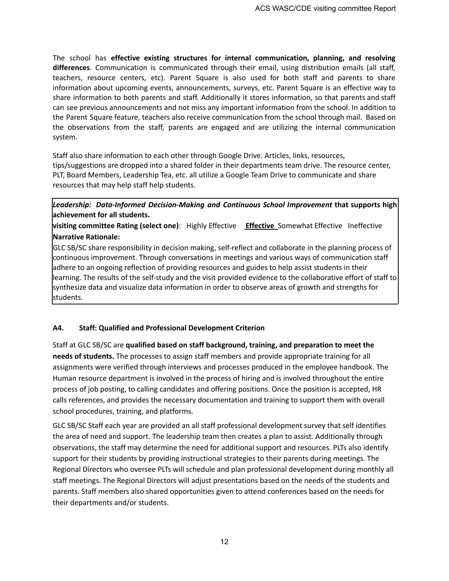The school has **effective existing structures for internal communication, planning, and resolving differences**. Communication is communicated through their email, using distribution emails (all staff, teachers, resource centers, etc). Parent Square is also used for both staff and parents to share information about upcoming events, announcements, surveys, etc. Parent Square is an effective way to share information to both parents and staff. Additionally it stores information, so that parents and staff can see previous announcements and not miss any important information from the school. In addition to the Parent Square feature, teachers also receive communication from the school through mail. Based on the observations from the staff, parents are engaged and are utilizing the internal communication system.

Staff also share information to each other through Google Drive. Articles, links, resources, tips/suggestions are dropped into a shared folder in their departments team drive. The resource center, PLT, Board Members, Leadership Tea, etc. all utilize a Google Team Drive to communicate and share resources that may help staff help students.

# *Leadership: Data-Informed Decision-Making and Continuous School Improvement* **that supports high achievement for all students.**

**visiting committee Rating (select one)**: Highly Effective **Effective** Somewhat Effective Ineffective **Narrative Rationale:**

GLC SB/SC share responsibility in decision making, self-reflect and collaborate in the planning process of continuous improvement. Through conversations in meetings and various ways of communication staff adhere to an ongoing reflection of providing resources and guides to help assist students in their learning. The results of the self-study and the visit provided evidence to the collaborative effort of staff to synthesize data and visualize data information in order to observe areas of growth and strengths for students.

# **A4. Staff: Qualified and Professional Development Criterion**

Staff at GLC SB/SC are **qualified based on staff background, training, and preparation to meet the needs of students.** The processes to assign staff members and provide appropriate training for all assignments were verified through interviews and processes produced in the employee handbook. The Human resource department is involved in the process of hiring and is involved throughout the entire process of job posting, to calling candidates and offering positions. Once the position is accepted, HR calls references, and provides the necessary documentation and training to support them with overall school procedures, training, and platforms.

GLC SB/SC Staff each year are provided an all staff professional development survey that self identifies the area of need and support. The leadership team then creates a plan to assist. Additionally through observations, the staff may determine the need for additional support and resources. PLTs also identify support for their students by providing instructional strategies to their parents during meetings. The Regional Directors who oversee PLTs will schedule and plan professional development during monthly all staff meetings. The Regional Directors will adjust presentations based on the needs of the students and parents. Staff members also shared opportunities given to attend conferences based on the needs for their departments and/or students.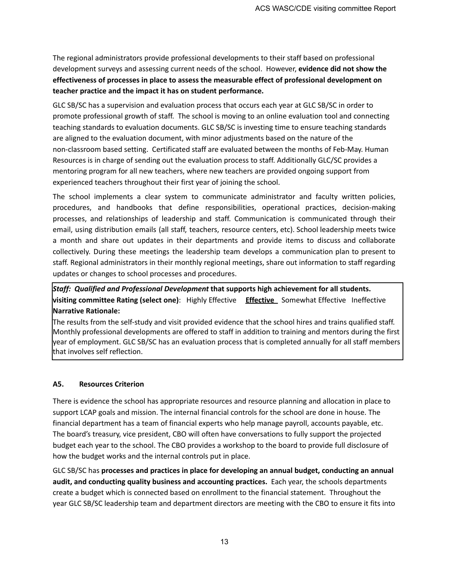The regional administrators provide professional developments to their staff based on professional development surveys and assessing current needs of the school. However, **evidence did not show the effectiveness of processes in place to assess the measurable effect of professional development on teacher practice and the impact it has on student performance.**

GLC SB/SC has a supervision and evaluation process that occurs each year at GLC SB/SC in order to promote professional growth of staff. The school is moving to an online evaluation tool and connecting teaching standards to evaluation documents. GLC SB/SC is investing time to ensure teaching standards are aligned to the evaluation document, with minor adjustments based on the nature of the non-classroom based setting. Certificated staff are evaluated between the months of Feb-May. Human Resources is in charge of sending out the evaluation process to staff. Additionally GLC/SC provides a mentoring program for all new teachers, where new teachers are provided ongoing support from experienced teachers throughout their first year of joining the school.

The school implements a clear system to communicate administrator and faculty written policies, procedures, and handbooks that define responsibilities, operational practices, decision-making processes, and relationships of leadership and staff. Communication is communicated through their email, using distribution emails (all staff, teachers, resource centers, etc). School leadership meets twice a month and share out updates in their departments and provide items to discuss and collaborate collectively. During these meetings the leadership team develops a communication plan to present to staff. Regional administrators in their monthly regional meetings, share out information to staff regarding updates or changes to school processes and procedures.

# *Staff: Qualified and Professional Development* **that supports high achievement for all students. visiting committee Rating (select one)**: Highly Effective **Effective** Somewhat Effective Ineffective **Narrative Rationale:**

The results from the self-study and visit provided evidence that the school hires and trains qualified staff. Monthly professional developments are offered to staff in addition to training and mentors during the first year of employment. GLC SB/SC has an evaluation process that is completed annually for all staff members that involves self reflection.

# **A5. Resources Criterion**

There is evidence the school has appropriate resources and resource planning and allocation in place to support LCAP goals and mission. The internal financial controls for the school are done in house. The financial department has a team of financial experts who help manage payroll, accounts payable, etc. The board's treasury, vice president, CBO will often have conversations to fully support the projected budget each year to the school. The CBO provides a workshop to the board to provide full disclosure of how the budget works and the internal controls put in place.

GLC SB/SC has **processes and practices in place for developing an annual budget, conducting an annual audit, and conducting quality business and accounting practices.** Each year, the schools departments create a budget which is connected based on enrollment to the financial statement. Throughout the year GLC SB/SC leadership team and department directors are meeting with the CBO to ensure it fits into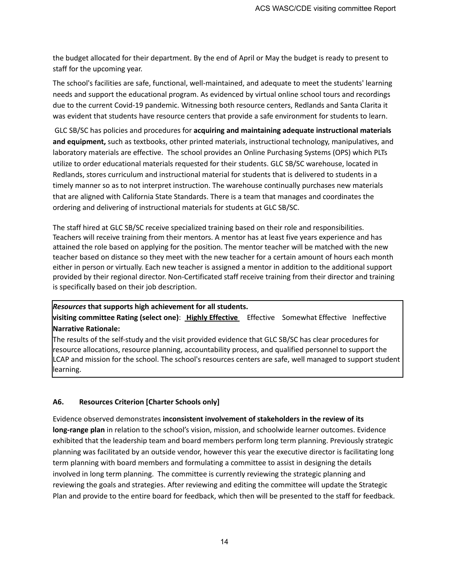the budget allocated for their department. By the end of April or May the budget is ready to present to staff for the upcoming year.

The school's facilities are safe, functional, well-maintained, and adequate to meet the students' learning needs and support the educational program. As evidenced by virtual online school tours and recordings due to the current Covid-19 pandemic. Witnessing both resource centers, Redlands and Santa Clarita it was evident that students have resource centers that provide a safe environment for students to learn.

GLC SB/SC has policies and procedures for **acquiring and maintaining adequate instructional materials and equipment,** such as textbooks, other printed materials, instructional technology, manipulatives, and laboratory materials are effective. The school provides an Online Purchasing Systems (OPS) which PLTs utilize to order educational materials requested for their students. GLC SB/SC warehouse, located in Redlands, stores curriculum and instructional material for students that is delivered to students in a timely manner so as to not interpret instruction. The warehouse continually purchases new materials that are aligned with California State Standards. There is a team that manages and coordinates the ordering and delivering of instructional materials for students at GLC SB/SC.

The staff hired at GLC SB/SC receive specialized training based on their role and responsibilities. Teachers will receive training from their mentors. A mentor has at least five years experience and has attained the role based on applying for the position. The mentor teacher will be matched with the new teacher based on distance so they meet with the new teacher for a certain amount of hours each month either in person or virtually. Each new teacher is assigned a mentor in addition to the additional support provided by their regional director. Non-Certificated staff receive training from their director and training is specifically based on their job description.

#### *Resources* **that supports high achievement for all students.**

**visiting committee Rating (select one)**: **Highly Effective** Effective Somewhat Effective Ineffective **Narrative Rationale:**

The results of the self-study and the visit provided evidence that GLC SB/SC has clear procedures for resource allocations, resource planning, accountability process, and qualified personnel to support the LCAP and mission for the school. The school's resources centers are safe, well managed to support student learning.

#### **A6. Resources Criterion [Charter Schools only]**

Evidence observed demonstrates **inconsistent involvement of stakeholders in the review of its long-range plan** in relation to the school's vision, mission, and schoolwide learner outcomes. Evidence exhibited that the leadership team and board members perform long term planning. Previously strategic planning was facilitated by an outside vendor, however this year the executive director is facilitating long term planning with board members and formulating a committee to assist in designing the details involved in long term planning. The committee is currently reviewing the strategic planning and reviewing the goals and strategies. After reviewing and editing the committee will update the Strategic Plan and provide to the entire board for feedback, which then will be presented to the staff for feedback.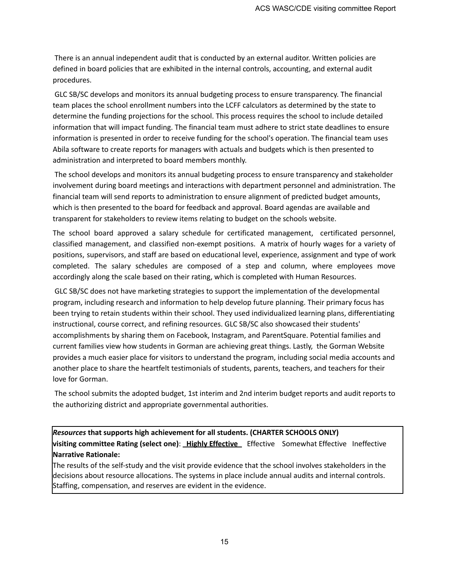There is an annual independent audit that is conducted by an external auditor. Written policies are defined in board policies that are exhibited in the internal controls, accounting, and external audit procedures.

GLC SB/SC develops and monitors its annual budgeting process to ensure transparency. The financial team places the school enrollment numbers into the LCFF calculators as determined by the state to determine the funding projections for the school. This process requires the school to include detailed information that will impact funding. The financial team must adhere to strict state deadlines to ensure information is presented in order to receive funding for the school's operation. The financial team uses Abila software to create reports for managers with actuals and budgets which is then presented to administration and interpreted to board members monthly.

The school develops and monitors its annual budgeting process to ensure transparency and stakeholder involvement during board meetings and interactions with department personnel and administration. The financial team will send reports to administration to ensure alignment of predicted budget amounts, which is then presented to the board for feedback and approval. Board agendas are available and transparent for stakeholders to review items relating to budget on the schools website.

The school board approved a salary schedule for certificated management, certificated personnel, classified management, and classified non-exempt positions. A matrix of hourly wages for a variety of positions, supervisors, and staff are based on educational level, experience, assignment and type of work completed. The salary schedules are composed of a step and column, where employees move accordingly along the scale based on their rating, which is completed with Human Resources.

GLC SB/SC does not have marketing strategies to support the implementation of the developmental program, including research and information to help develop future planning. Their primary focus has been trying to retain students within their school. They used individualized learning plans, differentiating instructional, course correct, and refining resources. GLC SB/SC also showcased their students' accomplishments by sharing them on Facebook, Instagram, and ParentSquare. Potential families and current families view how students in Gorman are achieving great things. Lastly, the Gorman Website provides a much easier place for visitors to understand the program, including social media accounts and another place to share the heartfelt testimonials of students, parents, teachers, and teachers for their love for Gorman.

The school submits the adopted budget, 1st interim and 2nd interim budget reports and audit reports to the authorizing district and appropriate governmental authorities.

*Resources* **that supports high achievement for all students. (CHARTER SCHOOLS ONLY) visiting committee Rating (select one)**: **Highly Effective** Effective Somewhat Effective Ineffective **Narrative Rationale:**

The results of the self-study and the visit provide evidence that the school involves stakeholders in the decisions about resource allocations. The systems in place include annual audits and internal controls. Staffing, compensation, and reserves are evident in the evidence.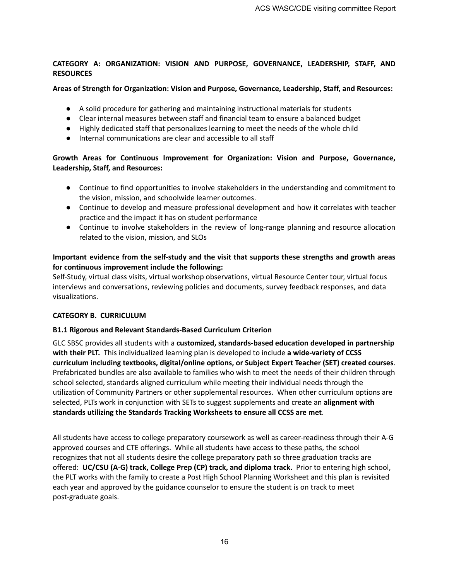#### **CATEGORY A: ORGANIZATION: VISION AND PURPOSE, GOVERNANCE, LEADERSHIP, STAFF, AND RESOURCES**

#### **Areas of Strength for Organization: Vision and Purpose, Governance, Leadership, Staff, and Resources:**

- A solid procedure for gathering and maintaining instructional materials for students
- Clear internal measures between staff and financial team to ensure a balanced budget
- Highly dedicated staff that personalizes learning to meet the needs of the whole child
- Internal communications are clear and accessible to all staff

# **Growth Areas for Continuous Improvement for Organization: Vision and Purpose, Governance, Leadership, Staff, and Resources:**

- Continue to find opportunities to involve stakeholders in the understanding and commitment to the vision, mission, and schoolwide learner outcomes.
- Continue to develop and measure professional development and how it correlates with teacher practice and the impact it has on student performance
- Continue to involve stakeholders in the review of long-range planning and resource allocation related to the vision, mission, and SLOs

# **Important evidence from the self-study and the visit that supports these strengths and growth areas for continuous improvement include the following:**

Self-Study, virtual class visits, virtual workshop observations, virtual Resource Center tour, virtual focus interviews and conversations, reviewing policies and documents, survey feedback responses, and data visualizations.

# **CATEGORY B. CURRICULUM**

# **B1.1 Rigorous and Relevant Standards-Based Curriculum Criterion**

GLC SBSC provides all students with a **customized, standards-based education developed in partnership with their PLT.** This individualized learning plan is developed to include **a wide-variety of CCSS curriculum including textbooks, digital/online options, or Subject Expert Teacher (SET) created courses**. Prefabricated bundles are also available to families who wish to meet the needs of their children through school selected, standards aligned curriculum while meeting their individual needs through the utilization of Community Partners or other supplemental resources. When other curriculum options are selected, PLTs work in conjunction with SETs to suggest supplements and create an **alignment with standards utilizing the Standards Tracking Worksheets to ensure all CCSS are met**.

All students have access to college preparatory coursework as well as career-readiness through their A-G approved courses and CTE offerings. While all students have access to these paths, the school recognizes that not all students desire the college preparatory path so three graduation tracks are offered: **UC/CSU (A-G) track, College Prep (CP) track, and diploma track.** Prior to entering high school, the PLT works with the family to create a Post High School Planning Worksheet and this plan is revisited each year and approved by the guidance counselor to ensure the student is on track to meet post-graduate goals.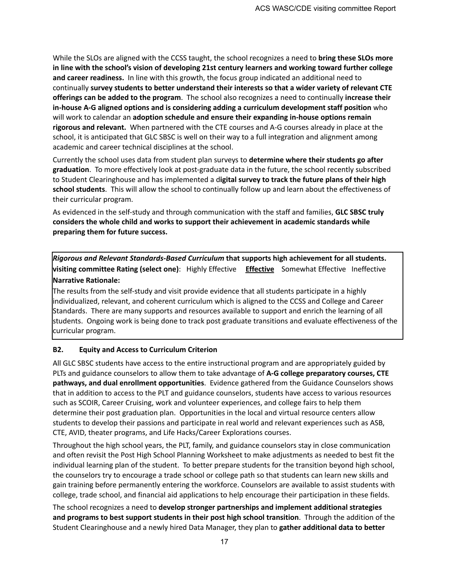While the SLOs are aligned with the CCSS taught, the school recognizes a need to **bring these SLOs more in line with the school's vision of developing 21st century learners and working toward further college and career readiness.** In line with this growth, the focus group indicated an additional need to continually **survey students to better understand their interests so that a wider variety of relevant CTE offerings can be added to the program**. The school also recognizes a need to continually **increase their in-house A-G aligned options and is considering adding a curriculum development staff position** who will work to calendar an **adoption schedule and ensure their expanding in-house options remain rigorous and relevant.** When partnered with the CTE courses and A-G courses already in place at the school, it is anticipated that GLC SBSC is well on their way to a full integration and alignment among academic and career technical disciplines at the school.

Currently the school uses data from student plan surveys to **determine where their students go after graduation**. To more effectively look at post-graduate data in the future, the school recently subscribed to Student Clearinghouse and has implemented a d**igital survey to track the future plans of their high school students**. This will allow the school to continually follow up and learn about the effectiveness of their curricular program.

As evidenced in the self-study and through communication with the staff and families, **GLC SBSC truly considers the whole child and works to support their achievement in academic standards while preparing them for future success.**

*Rigorous and Relevant Standards-Based Curriculum* **that supports high achievement for all students. visiting committee Rating (select one)**: Highly Effective **Effective** Somewhat Effective Ineffective **Narrative Rationale:**

The results from the self-study and visit provide evidence that all students participate in a highly individualized, relevant, and coherent curriculum which is aligned to the CCSS and College and Career Standards. There are many supports and resources available to support and enrich the learning of all students. Ongoing work is being done to track post graduate transitions and evaluate effectiveness of the curricular program.

#### **B2. Equity and Access to Curriculum Criterion**

All GLC SBSC students have access to the entire instructional program and are appropriately guided by PLTs and guidance counselors to allow them to take advantage of **A-G college preparatory courses, CTE pathways, and dual enrollment opportunities**. Evidence gathered from the Guidance Counselors shows that in addition to access to the PLT and guidance counselors, students have access to various resources such as SCOIR, Career Cruising, work and volunteer experiences, and college fairs to help them determine their post graduation plan. Opportunities in the local and virtual resource centers allow students to develop their passions and participate in real world and relevant experiences such as ASB, CTE, AVID, theater programs, and Life Hacks/Career Explorations courses.

Throughout the high school years, the PLT, family, and guidance counselors stay in close communication and often revisit the Post High School Planning Worksheet to make adjustments as needed to best fit the individual learning plan of the student. To better prepare students for the transition beyond high school, the counselors try to encourage a trade school or college path so that students can learn new skills and gain training before permanently entering the workforce. Counselors are available to assist students with college, trade school, and financial aid applications to help encourage their participation in these fields.

The school recognizes a need to **develop stronger partnerships and implement additional strategies and programs to best support students in their post high school transition**. Through the addition of the Student Clearinghouse and a newly hired Data Manager, they plan to **gather additional data to better**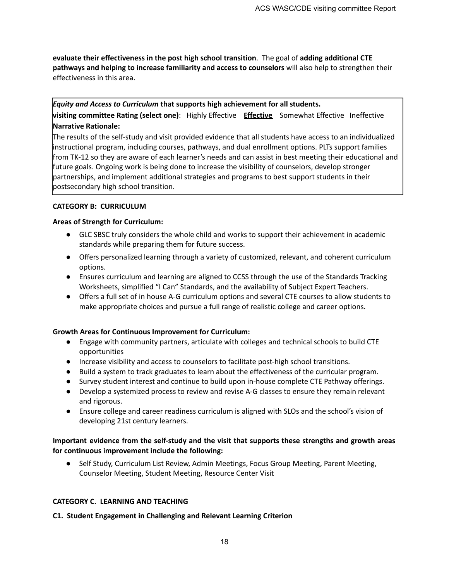**evaluate their effectiveness in the post high school transition**. The goal of **adding additional CTE pathways and helping to increase familiarity and access to counselors** will also help to strengthen their effectiveness in this area.

# *Equity and Access to Curriculum* **that supports high achievement for all students. visiting committee Rating (select one)**: Highly Effective **Effective** Somewhat Effective Ineffective **Narrative Rationale:**

The results of the self-study and visit provided evidence that all students have access to an individualized instructional program, including courses, pathways, and dual enrollment options. PLTs support families from TK-12 so they are aware of each learner's needs and can assist in best meeting their educational and future goals. Ongoing work is being done to increase the visibility of counselors, develop stronger partnerships, and implement additional strategies and programs to best support students in their postsecondary high school transition.

## **CATEGORY B: CURRICULUM**

## **Areas of Strength for Curriculum:**

- GLC SBSC truly considers the whole child and works to support their achievement in academic standards while preparing them for future success.
- Offers personalized learning through a variety of customized, relevant, and coherent curriculum options.
- Ensures curriculum and learning are aligned to CCSS through the use of the Standards Tracking Worksheets, simplified "I Can" Standards, and the availability of Subject Expert Teachers.
- Offers a full set of in house A-G curriculum options and several CTE courses to allow students to make appropriate choices and pursue a full range of realistic college and career options.

# **Growth Areas for Continuous Improvement for Curriculum:**

- Engage with community partners, articulate with colleges and technical schools to build CTE opportunities
- Increase visibility and access to counselors to facilitate post-high school transitions.
- Build a system to track graduates to learn about the effectiveness of the curricular program.
- Survey student interest and continue to build upon in-house complete CTE Pathway offerings.
- Develop a systemized process to review and revise A-G classes to ensure they remain relevant and rigorous.
- Ensure college and career readiness curriculum is aligned with SLOs and the school's vision of developing 21st century learners.

# **Important evidence from the self-study and the visit that supports these strengths and growth areas for continuous improvement include the following:**

● Self Study, Curriculum List Review, Admin Meetings, Focus Group Meeting, Parent Meeting, Counselor Meeting, Student Meeting, Resource Center Visit

# **CATEGORY C. LEARNING AND TEACHING**

#### **C1. Student Engagement in Challenging and Relevant Learning Criterion**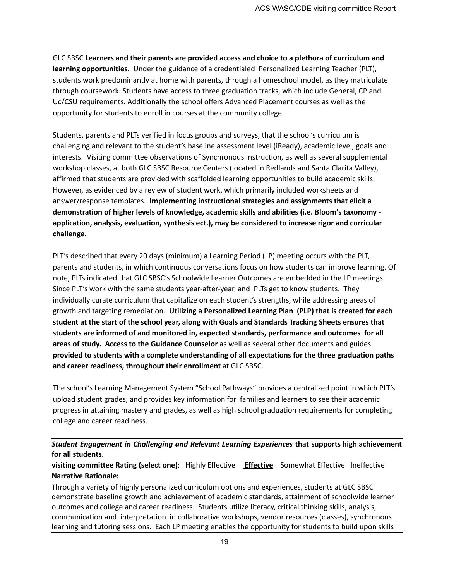GLC SBSC **Learners and their parents are provided access and choice to a plethora of curriculum and learning opportunities.** Under the guidance of a credentialed Personalized Learning Teacher (PLT), students work predominantly at home with parents, through a homeschool model, as they matriculate through coursework. Students have access to three graduation tracks, which include General, CP and Uc/CSU requirements. Additionally the school offers Advanced Placement courses as well as the opportunity for students to enroll in courses at the community college.

Students, parents and PLTs verified in focus groups and surveys, that the school's curriculum is challenging and relevant to the student's baseline assessment level (iReady), academic level, goals and interests. Visiting committee observations of Synchronous Instruction, as well as several supplemental workshop classes, at both GLC SBSC Resource Centers (located in Redlands and Santa Clarita Valley), affirmed that students are provided with scaffolded learning opportunities to build academic skills. However, as evidenced by a review of student work, which primarily included worksheets and answer/response templates. **Implementing instructional strategies and assignments that elicit a demonstration of higher levels of knowledge, academic skills and abilities (i.e. Bloom's taxonomy application, analysis, evaluation, synthesis ect.), may be considered to increase rigor and curricular challenge.**

PLT's described that every 20 days (minimum) a Learning Period (LP) meeting occurs with the PLT, parents and students, in which continuous conversations focus on how students can improve learning. Of note, PLTs indicated that GLC SBSC's Schoolwide Learner Outcomes are embedded in the LP meetings. Since PLT's work with the same students year-after-year, and PLTs get to know students. They individually curate curriculum that capitalize on each student's strengths, while addressing areas of growth and targeting remediation. **Utilizing a Personalized Learning Plan (PLP) that is created for each student at the start of the school year, along with Goals and Standards Tracking Sheets ensures that students are informed of and monitored in, expected standards, performance and outcomes for all areas of study. Access to the Guidance Counselor** as well as several other documents and guides **provided to students with a complete understanding of all expectations for the three graduation paths and career readiness, throughout their enrollment** at GLC SBSC.

The school's Learning Management System "School Pathways" provides a centralized point in which PLT's upload student grades, and provides key information for families and learners to see their academic progress in attaining mastery and grades, as well as high school graduation requirements for completing college and career readiness.

*Student Engagement in Challenging and Relevant Learning Experiences* **that supports high achievement for all students.**

**visiting committee Rating (select one)**: Highly Effective **Effective** Somewhat Effective Ineffective **Narrative Rationale:**

Through a variety of highly personalized curriculum options and experiences, students at GLC SBSC demonstrate baseline growth and achievement of academic standards, attainment of schoolwide learner outcomes and college and career readiness. Students utilize literacy, critical thinking skills, analysis, communication and interpretation in collaborative workshops, vendor resources (classes), synchronous learning and tutoring sessions. Each LP meeting enables the opportunity for students to build upon skills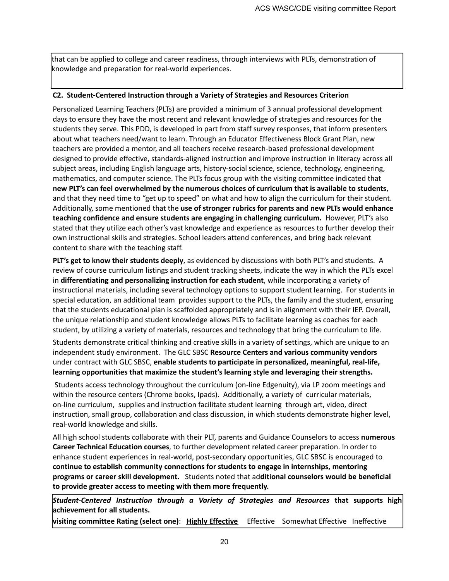that can be applied to college and career readiness, through interviews with PLTs, demonstration of knowledge and preparation for real-world experiences.

#### **C2. Student-Centered Instruction through a Variety of Strategies and Resources Criterion**

Personalized Learning Teachers (PLTs) are provided a minimum of 3 annual professional development days to ensure they have the most recent and relevant knowledge of strategies and resources for the students they serve. This PDD, is developed in part from staff survey responses, that inform presenters about what teachers need/want to learn. Through an Educator Effectiveness Block Grant Plan, new teachers are provided a mentor, and all teachers receive research-based professional development designed to provide effective, standards-aligned instruction and improve instruction in literacy across all subject areas, including English language arts, history-social science, science, technology, engineering, mathematics, and computer science. The PLTs focus group with the visiting committee indicated that **new PLT's can feel overwhelmed by the numerous choices of curriculum that is available to students**, and that they need time to "get up to speed" on what and how to align the curriculum for their student. Additionally, some mentioned that the **use of stronger rubrics for parents and new PLTs would enhance teaching confidence and ensure students are engaging in challenging curriculum.** However, PLT's also stated that they utilize each other's vast knowledge and experience as resources to further develop their own instructional skills and strategies. School leaders attend conferences, and bring back relevant content to share with the teaching staff.

**PLT's get to know their students deeply**, as evidenced by discussions with both PLT's and students. A review of course curriculum listings and student tracking sheets, indicate the way in which the PLTs excel in **differentiating and personalizing instruction for each student**, while incorporating a variety of instructional materials, including several technology options to support student learning. For students in special education, an additional team provides support to the PLTs, the family and the student, ensuring that the students educational plan is scaffolded appropriately and is in alignment with their IEP. Overall, the unique relationship and student knowledge allows PLTs to facilitate learning as coaches for each student, by utilizing a variety of materials, resources and technology that bring the curriculum to life.

Students demonstrate critical thinking and creative skills in a variety of settings, which are unique to an independent study environment. The GLC SBSC **Resource Centers and various community vendors** under contract with GLC SBSC, **enable students to participate in personalized, meaningful, real-life, learning opportunities that maximize the student's learning style and leveraging their strengths.**

Students access technology throughout the curriculum (on-line Edgenuity), via LP zoom meetings and within the resource centers (Chrome books, Ipads). Additionally, a variety of curricular materials, on-line curriculum, supplies and instruction facilitate student learning through art, video, direct instruction, small group, collaboration and class discussion, in which students demonstrate higher level, real-world knowledge and skills.

All high school students collaborate with their PLT, parents and Guidance Counselors to access **numerous Career Technical Education courses**, to further development related career preparation. In order to enhance student experiences in real-world, post-secondary opportunities, GLC SBSC is encouraged to **continue to establish community connections for students to engage in internships, mentoring programs or career skill development.** Students noted that ad**ditional counselors would be beneficial to provide greater access to meeting with them more frequently.**

*Student-Centered Instruction through a Variety of Strategies and Resources* **that supports high achievement for all students.**

**visiting committee Rating (select one)**: **Highly Effective** Effective Somewhat Effective Ineffective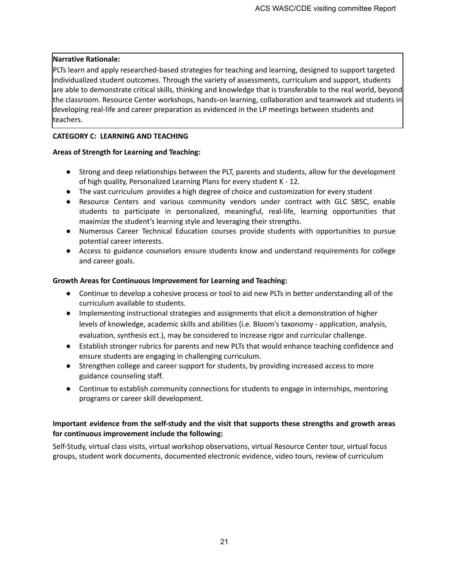## **Narrative Rationale:**

PLTs learn and apply researched-based strategies for teaching and learning, designed to support targeted individualized student outcomes. Through the variety of assessments, curriculum and support, students are able to demonstrate critical skills, thinking and knowledge that is transferable to the real world, beyond the classroom. Resource Center workshops, hands-on learning, collaboration and teamwork aid students in developing real-life and career preparation as evidenced in the LP meetings between students and teachers.

#### **CATEGORY C: LEARNING AND TEACHING**

## **Areas of Strength for Learning and Teaching:**

- Strong and deep relationships between the PLT, parents and students, allow for the development of high quality, Personalized Learning Plans for every student K - 12.
- The vast curriculum provides a high degree of choice and customization for every student
- Resource Centers and various community vendors under contract with GLC SBSC, enable students to participate in personalized, meaningful, real-life, learning opportunities that maximize the student's learning style and leveraging their strengths.
- Numerous Career Technical Education courses provide students with opportunities to pursue potential career interests.
- Access to guidance counselors ensure students know and understand requirements for college and career goals.

## **Growth Areas for Continuous Improvement for Learning and Teaching:**

- Continue to develop a cohesive process or tool to aid new PLTs in better understanding all of the curriculum available to students.
- Implementing instructional strategies and assignments that elicit a demonstration of higher levels of knowledge, academic skills and abilities (i.e. Bloom's taxonomy - application, analysis, evaluation, synthesis ect.), may be considered to increase rigor and curricular challenge.
- Establish stronger rubrics for parents and new PLTs that would enhance teaching confidence and ensure students are engaging in challenging curriculum.
- Strengthen college and career support for students, by providing increased access to more guidance counseling staff.
- Continue to establish community connections for students to engage in internships, mentoring programs or career skill development.

## **Important evidence from the self-study and the visit that supports these strengths and growth areas for continuous improvement include the following:**

Self-Study, virtual class visits, virtual workshop observations, virtual Resource Center tour, virtual focus groups, student work documents, documented electronic evidence, video tours, review of curriculum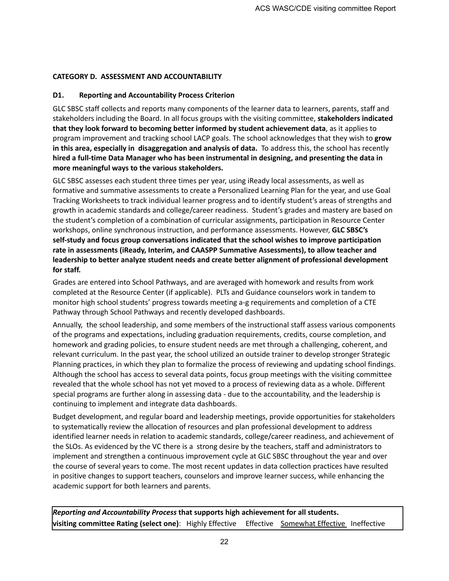## **CATEGORY D. ASSESSMENT AND ACCOUNTABILITY**

## **D1. Reporting and Accountability Process Criterion**

GLC SBSC staff collects and reports many components of the learner data to learners, parents, staff and stakeholders including the Board. In all focus groups with the visiting committee, **stakeholders indicated that they look forward to becoming better informed by student achievement data**, as it applies to program improvement and tracking school LACP goals. The school acknowledges that they wish to **grow in this area, especially in disaggregation and analysis of data.** To address this, the school has recently **hired a full-time Data Manager who has been instrumental in designing, and presenting the data in more meaningful ways to the various stakeholders.**

GLC SBSC assesses each student three times per year, using iReady local assessments, as well as formative and summative assessments to create a Personalized Learning Plan for the year, and use Goal Tracking Worksheets to track individual learner progress and to identify student's areas of strengths and growth in academic standards and college/career readiness. Student's grades and mastery are based on the student's completion of a combination of curricular assignments, participation in Resource Center workshops, online synchronous instruction, and performance assessments. However, **GLC SBSC's self-study and focus group conversations indicated that the school wishes to improve participation rate in assessments (iReady, Interim, and CAASPP Summative Assessments), to allow teacher and leadership to better analyze student needs and create better alignment of professional development for staff.**

Grades are entered into School Pathways, and are averaged with homework and results from work completed at the Resource Center (if applicable). PLTs and Guidance counselors work in tandem to monitor high school students' progress towards meeting a-g requirements and completion of a CTE Pathway through School Pathways and recently developed dashboards.

Annually, the school leadership, and some members of the instructional staff assess various components of the programs and expectations, including graduation requirements, credits, course completion, and homework and grading policies, to ensure student needs are met through a challenging, coherent, and relevant curriculum. In the past year, the school utilized an outside trainer to develop stronger Strategic Planning practices, in which they plan to formalize the process of reviewing and updating school findings. Although the school has access to several data points, focus group meetings with the visiting committee revealed that the whole school has not yet moved to a process of reviewing data as a whole. Different special programs are further along in assessing data - due to the accountability, and the leadership is continuing to implement and integrate data dashboards.

Budget development, and regular board and leadership meetings, provide opportunities for stakeholders to systematically review the allocation of resources and plan professional development to address identified learner needs in relation to academic standards, college/career readiness, and achievement of the SLOs. As evidenced by the VC there is a strong desire by the teachers, staff and administrators to implement and strengthen a continuous improvement cycle at GLC SBSC throughout the year and over the course of several years to come. The most recent updates in data collection practices have resulted in positive changes to support teachers, counselors and improve learner success, while enhancing the academic support for both learners and parents.

*Reporting and Accountability Process* **that supports high achievement for all students. visiting committee Rating (select one):** Highly Effective Effective Somewhat Effective Ineffective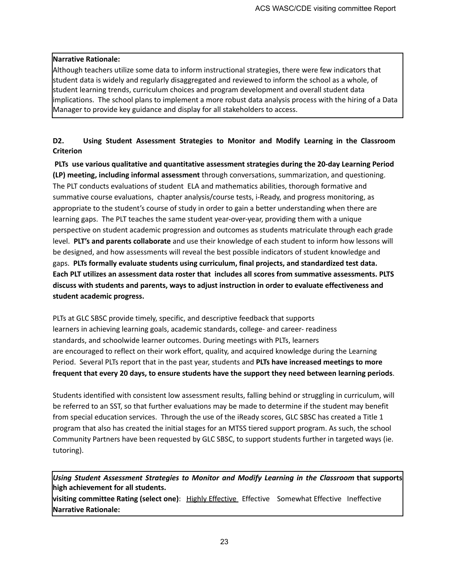## **Narrative Rationale:**

Although teachers utilize some data to inform instructional strategies, there were few indicators that student data is widely and regularly disaggregated and reviewed to inform the school as a whole, of student learning trends, curriculum choices and program development and overall student data implications. The school plans to implement a more robust data analysis process with the hiring of a Data Manager to provide key guidance and display for all stakeholders to access.

# **D2. Using Student Assessment Strategies to Monitor and Modify Learning in the Classroom Criterion**

**PLTs use various qualitative and quantitative assessment strategies during the 20-day Learning Period (LP) meeting, including informal assessment** through conversations, summarization, and questioning. The PLT conducts evaluations of student ELA and mathematics abilities, thorough formative and summative course evaluations, chapter analysis/course tests, i-Ready, and progress monitoring, as appropriate to the student's course of study in order to gain a better understanding when there are learning gaps. The PLT teaches the same student year-over-year, providing them with a unique perspective on student academic progression and outcomes as students matriculate through each grade level. **PLT's and parents collaborate** and use their knowledge of each student to inform how lessons will be designed, and how assessments will reveal the best possible indicators of student knowledge and gaps. **PLTs formally evaluate students using curriculum, final projects, and standardized test data. Each PLT utilizes an assessment data roster that includes all scores from summative assessments. PLTS discuss with students and parents, ways to adjust instruction in order to evaluate effectiveness and student academic progress.**

PLTs at GLC SBSC provide timely, specific, and descriptive feedback that supports learners in achieving learning goals, academic standards, college- and career- readiness standards, and schoolwide learner outcomes. During meetings with PLTs, learners are encouraged to reflect on their work effort, quality, and acquired knowledge during the Learning Period. Several PLTs report that in the past year, students and **PLTs have increased meetings to more frequent that every 20 days, to ensure students have the support they need between learning periods**.

Students identified with consistent low assessment results, falling behind or struggling in curriculum, will be referred to an SST, so that further evaluations may be made to determine if the student may benefit from special education services. Through the use of the iReady scores, GLC SBSC has created a Title 1 program that also has created the initial stages for an MTSS tiered support program. As such, the school Community Partners have been requested by GLC SBSC, to support students further in targeted ways (ie. tutoring).

*Using Student Assessment Strategies to Monitor and Modify Learning in the Classroom* **that supports high achievement for all students.**

**visiting committee Rating (select one)**: Highly Effective Effective Somewhat Effective Ineffective **Narrative Rationale:**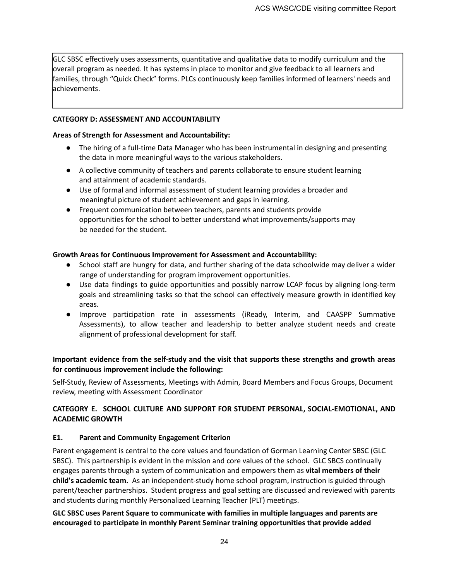GLC SBSC effectively uses assessments, quantitative and qualitative data to modify curriculum and the overall program as needed. It has systems in place to monitor and give feedback to all learners and families, through "Quick Check" forms. PLCs continuously keep families informed of learners' needs and achievements.

#### **CATEGORY D: ASSESSMENT AND ACCOUNTABILITY**

#### **Areas of Strength for Assessment and Accountability:**

- The hiring of a full-time Data Manager who has been instrumental in designing and presenting the data in more meaningful ways to the various stakeholders.
- A collective community of teachers and parents collaborate to ensure student learning and attainment of academic standards.
- Use of formal and informal assessment of student learning provides a broader and meaningful picture of student achievement and gaps in learning.
- Frequent communication between teachers, parents and students provide opportunities for the school to better understand what improvements/supports may be needed for the student.

#### **Growth Areas for Continuous Improvement for Assessment and Accountability:**

- School staff are hungry for data, and further sharing of the data schoolwide may deliver a wider range of understanding for program improvement opportunities.
- Use data findings to guide opportunities and possibly narrow LCAP focus by aligning long-term goals and streamlining tasks so that the school can effectively measure growth in identified key areas.
- Improve participation rate in assessments (iReady, Interim, and CAASPP Summative Assessments), to allow teacher and leadership to better analyze student needs and create alignment of professional development for staff.

# **Important evidence from the self-study and the visit that supports these strengths and growth areas for continuous improvement include the following:**

Self-Study, Review of Assessments, Meetings with Admin, Board Members and Focus Groups, Document review, meeting with Assessment Coordinator

# **CATEGORY E. SCHOOL CULTURE AND SUPPORT FOR STUDENT PERSONAL, SOCIAL-EMOTIONAL, AND ACADEMIC GROWTH**

#### **E1. Parent and Community Engagement Criterion**

Parent engagement is central to the core values and foundation of Gorman Learning Center SBSC (GLC SBSC). This partnership is evident in the mission and core values of the school. GLC SBCS continually engages parents through a system of communication and empowers them as **vital members of their child's academic team.** As an independent-study home school program, instruction is guided through parent/teacher partnerships. Student progress and goal setting are discussed and reviewed with parents and students during monthly Personalized Learning Teacher (PLT) meetings.

#### **GLC SBSC uses Parent Square to communicate with families in multiple languages and parents are encouraged to participate in monthly Parent Seminar training opportunities that provide added**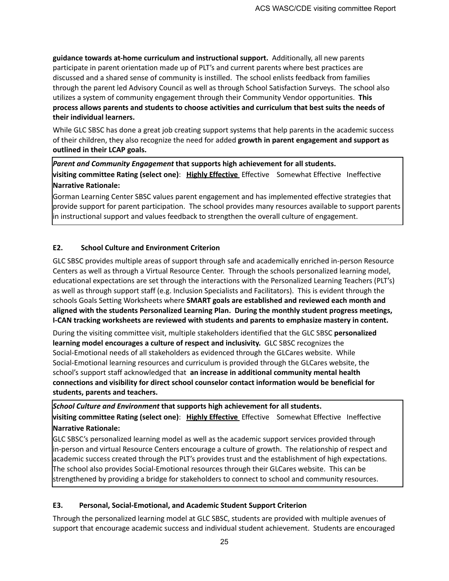**guidance towards at-home curriculum and instructional support.** Additionally, all new parents participate in parent orientation made up of PLT's and current parents where best practices are discussed and a shared sense of community is instilled. The school enlists feedback from families through the parent led Advisory Council as well as through School Satisfaction Surveys. The school also utilizes a system of community engagement through their Community Vendor opportunities. **This process allows parents and students to choose activities and curriculum that best suits the needs of their individual learners.**

While GLC SBSC has done a great job creating support systems that help parents in the academic success of their children, they also recognize the need for added **growth in parent engagement and support as outlined in their LCAP goals.**

*Parent and Community Engagement* **that supports high achievement for all students. visiting committee Rating (select one)**: **Highly Effective** Effective Somewhat Effective Ineffective **Narrative Rationale:**

Gorman Learning Center SBSC values parent engagement and has implemented effective strategies that provide support for parent participation. The school provides many resources available to support parents in instructional support and values feedback to strengthen the overall culture of engagement.

# **E2. School Culture and Environment Criterion**

GLC SBSC provides multiple areas of support through safe and academically enriched in-person Resource Centers as well as through a Virtual Resource Center. Through the schools personalized learning model, educational expectations are set through the interactions with the Personalized Learning Teachers (PLT's) as well as through support staff (e.g. Inclusion Specialists and Facilitators). This is evident through the schools Goals Setting Worksheets where **SMART goals are established and reviewed each month and aligned with the students Personalized Learning Plan. During the monthly student progress meetings, I-CAN tracking worksheets are reviewed with students and parents to emphasize mastery in content.**

During the visiting committee visit, multiple stakeholders identified that the GLC SBSC **personalized learning model encourages a culture of respect and inclusivity.** GLC SBSC recognizes the Social-Emotional needs of all stakeholders as evidenced through the GLCares website. While Social-Emotional learning resources and curriculum is provided through the GLCares website, the school's support staff acknowledged that **an increase in additional community mental health connections and visibility for direct school counselor contact information would be beneficial for students, parents and teachers.**

*School Culture and Environment* **that supports high achievement for all students. visiting committee Rating (select one)**: **Highly Effective** Effective Somewhat Effective Ineffective **Narrative Rationale:**

GLC SBSC's personalized learning model as well as the academic support services provided through in-person and virtual Resource Centers encourage a culture of growth. The relationship of respect and academic success created through the PLT's provides trust and the establishment of high expectations. The school also provides Social-Emotional resources through their GLCares website. This can be strengthened by providing a bridge for stakeholders to connect to school and community resources.

#### **E3. Personal, Social-Emotional, and Academic Student Support Criterion**

Through the personalized learning model at GLC SBSC, students are provided with multiple avenues of support that encourage academic success and individual student achievement. Students are encouraged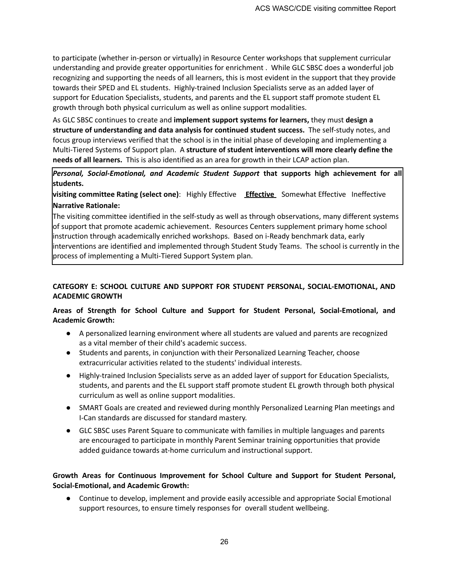to participate (whether in-person or virtually) in Resource Center workshops that supplement curricular understanding and provide greater opportunities for enrichment . While GLC SBSC does a wonderful job recognizing and supporting the needs of all learners, this is most evident in the support that they provide towards their SPED and EL students. Highly-trained Inclusion Specialists serve as an added layer of support for Education Specialists, students, and parents and the EL support staff promote student EL growth through both physical curriculum as well as online support modalities.

As GLC SBSC continues to create and **implement support systems for learners,** they must **design a structure of understanding and data analysis for continued student success.** The self-study notes, and focus group interviews verified that the school is in the initial phase of developing and implementing a Multi-Tiered Systems of Support plan. A **structure of student interventions will more clearly define the needs of all learners.** This is also identified as an area for growth in their LCAP action plan.

*Personal, Social-Emotional, and Academic Student Support* **that supports high achievement for all students.**

**visiting committee Rating (select one)**: Highly Effective **Effective** Somewhat Effective Ineffective **Narrative Rationale:**

The visiting committee identified in the self-study as well as through observations, many different systems of support that promote academic achievement. Resources Centers supplement primary home school instruction through academically enriched workshops. Based on i-Ready benchmark data, early interventions are identified and implemented through Student Study Teams. The school is currently in the process of implementing a Multi-Tiered Support System plan.

## **CATEGORY E: SCHOOL CULTURE AND SUPPORT FOR STUDENT PERSONAL, SOCIAL-EMOTIONAL, AND ACADEMIC GROWTH**

# **Areas of Strength for School Culture and Support for Student Personal, Social-Emotional, and Academic Growth:**

- A personalized learning environment where all students are valued and parents are recognized as a vital member of their child's academic success.
- Students and parents, in conjunction with their Personalized Learning Teacher, choose extracurricular activities related to the students' individual interests.
- Highly-trained Inclusion Specialists serve as an added layer of support for Education Specialists, students, and parents and the EL support staff promote student EL growth through both physical curriculum as well as online support modalities.
- SMART Goals are created and reviewed during monthly Personalized Learning Plan meetings and I-Can standards are discussed for standard mastery.
- GLC SBSC uses Parent Square to communicate with families in multiple languages and parents are encouraged to participate in monthly Parent Seminar training opportunities that provide added guidance towards at-home curriculum and instructional support.

# **Growth Areas for Continuous Improvement for School Culture and Support for Student Personal, Social-Emotional, and Academic Growth:**

● Continue to develop, implement and provide easily accessible and appropriate Social Emotional support resources, to ensure timely responses for overall student wellbeing.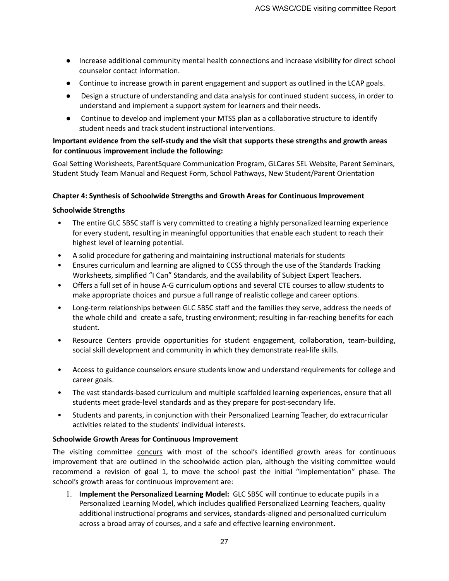- Increase additional community mental health connections and increase visibility for direct school counselor contact information.
- Continue to increase growth in parent engagement and support as outlined in the LCAP goals.
- Design a structure of understanding and data analysis for continued student success, in order to understand and implement a support system for learners and their needs.
- Continue to develop and implement your MTSS plan as a collaborative structure to identify student needs and track student instructional interventions.

#### **Important evidence from the self-study and the visit that supports these strengths and growth areas for continuous improvement include the following:**

Goal Setting Worksheets, ParentSquare Communication Program, GLCares SEL Website, Parent Seminars, Student Study Team Manual and Request Form, School Pathways, New Student/Parent Orientation

#### **Chapter 4: Synthesis of Schoolwide Strengths and Growth Areas for Continuous Improvement**

#### **Schoolwide Strengths**

- The entire GLC SBSC staff is very committed to creating a highly personalized learning experience for every student, resulting in meaningful opportunities that enable each student to reach their highest level of learning potential.
- A solid procedure for gathering and maintaining instructional materials for students
- Ensures curriculum and learning are aligned to CCSS through the use of the Standards Tracking Worksheets, simplified "I Can" Standards, and the availability of Subject Expert Teachers.
- Offers a full set of in house A-G curriculum options and several CTE courses to allow students to make appropriate choices and pursue a full range of realistic college and career options.
- Long-term relationships between GLC SBSC staff and the families they serve, address the needs of the whole child and create a safe, trusting environment; resulting in far-reaching benefits for each student.
- Resource Centers provide opportunities for student engagement, collaboration, team-building, social skill development and community in which they demonstrate real-life skills.
- Access to guidance counselors ensure students know and understand requirements for college and career goals.
- The vast standards-based curriculum and multiple scaffolded learning experiences, ensure that all students meet grade-level standards and as they prepare for post-secondary life.
- Students and parents, in conjunction with their Personalized Learning Teacher, do extracurricular activities related to the students' individual interests.

#### **Schoolwide Growth Areas for Continuous Improvement**

The visiting committee concurs with most of the school's identified growth areas for continuous improvement that are outlined in the schoolwide action plan, although the visiting committee would recommend a revision of goal 1, to move the school past the initial "implementation" phase. The school's growth areas for continuous improvement are:

1. **Implement the Personalized Learning Model:** GLC SBSC will continue to educate pupils in a Personalized Learning Model, which includes qualified Personalized Learning Teachers, quality additional instructional programs and services, standards-aligned and personalized curriculum across a broad array of courses, and a safe and effective learning environment.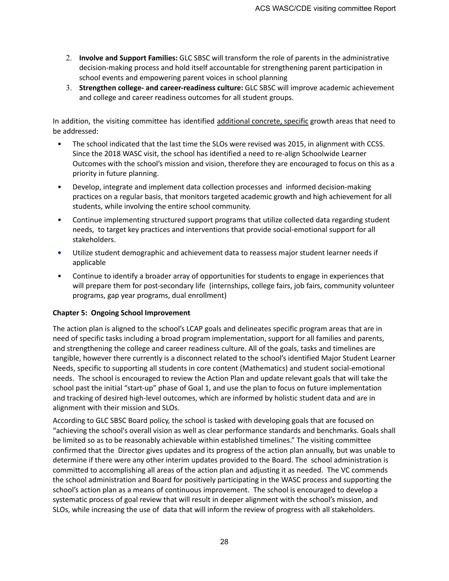- 2. **Involve and Support Families:** GLC SBSC will transform the role of parents in the administrative decision-making process and hold itself accountable for strengthening parent participation in school events and empowering parent voices in school planning
- 3. **Strengthen college- and career-readiness culture:** GLC SBSC will improve academic achievement and college and career readiness outcomes for all student groups.

In addition, the visiting committee has identified additional concrete, specific growth areas that need to be addressed:

- The school indicated that the last time the SLOs were revised was 2015, in alignment with CCSS. Since the 2018 WASC visit, the school has identified a need to re-align Schoolwide Learner Outcomes with the school's mission and vision, therefore they are encouraged to focus on this as a priority in future planning.
- Develop, integrate and implement data collection processes and informed decision-making practices on a regular basis, that monitors targeted academic growth and high achievement for all students, while involving the entire school community.
- Continue implementing structured support programs that utilize collected data regarding student needs, to target key practices and interventions that provide social-emotional support for all stakeholders.
- **•** Utilize student demographic and achievement data to reassess major student learner needs if applicable
- Continue to identify a broader array of opportunities for students to engage in experiences that will prepare them for post-secondary life (internships, college fairs, job fairs, community volunteer programs, gap year programs, dual enrollment)

# **Chapter 5: Ongoing School Improvement**

The action plan is aligned to the school's LCAP goals and delineates specific program areas that are in need of specific tasks including a broad program implementation, support for all families and parents, and strengthening the college and career readiness culture. All of the goals, tasks and timelines are tangible, however there currently is a disconnect related to the school's identified Major Student Learner Needs, specific to supporting all students in core content (Mathematics) and student social-emotional needs. The school is encouraged to review the Action Plan and update relevant goals that will take the school past the initial "start-up" phase of Goal 1, and use the plan to focus on future implementation and tracking of desired high-level outcomes, which are informed by holistic student data and are in alignment with their mission and SLOs.

According to GLC SBSC Board policy, the school is tasked with developing goals that are focused on "achieving the school's overall vision as well as clear performance standards and benchmarks. Goals shall be limited so as to be reasonably achievable within established timelines." The visiting committee confirmed that the Director gives updates and its progress of the action plan annually, but was unable to determine if there were any other interim updates provided to the Board. The school administration is committed to accomplishing all areas of the action plan and adjusting it as needed. The VC commends the school administration and Board for positively participating in the WASC process and supporting the school's action plan as a means of continuous improvement. The school is encouraged to develop a systematic process of goal review that will result in deeper alignment with the school's mission, and SLOs, while increasing the use of data that will inform the review of progress with all stakeholders.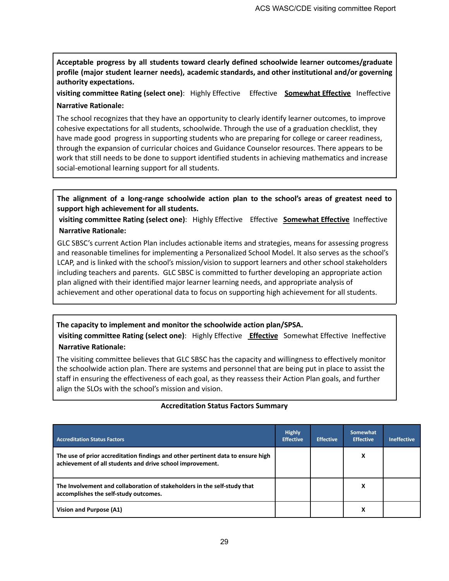**Acceptable progress by all students toward clearly defined schoolwide learner outcomes/graduate profile (major student learner needs), academic standards, and other institutional and/or governing authority expectations.**

**visiting committee Rating (select one)**: Highly Effective Effective **Somewhat Effective** Ineffective **Narrative Rationale:**

The school recognizes that they have an opportunity to clearly identify learner outcomes, to improve cohesive expectations for all students, schoolwide. Through the use of a graduation checklist, they have made good progress in supporting students who are preparing for college or career readiness, through the expansion of curricular choices and Guidance Counselor resources. There appears to be work that still needs to be done to support identified students in achieving mathematics and increase social-emotional learning support for all students.

**The alignment of a long-range schoolwide action plan to the school's areas of greatest need to support high achievement for all students.**

**visiting committee Rating (select one)**: Highly Effective Effective **Somewhat Effective** Ineffective **Narrative Rationale:**

GLC SBSC's current Action Plan includes actionable items and strategies, means for assessing progress and reasonable timelines for implementing a Personalized School Model. It also serves as the school's LCAP, and is linked with the school's mission/vision to support learners and other school stakeholders including teachers and parents. GLC SBSC is committed to further developing an appropriate action plan aligned with their identified major learner learning needs, and appropriate analysis of achievement and other operational data to focus on supporting high achievement for all students.

# **The capacity to implement and monitor the schoolwide action plan/SPSA.**

**visiting committee Rating (select one)**: Highly Effective **Effective** Somewhat Effective Ineffective **Narrative Rationale:**

The visiting committee believes that GLC SBSC has the capacity and willingness to effectively monitor the schoolwide action plan. There are systems and personnel that are being put in place to assist the staff in ensuring the effectiveness of each goal, as they reassess their Action Plan goals, and further align the SLOs with the school's mission and vision.

| <b>Accreditation Status Factors</b>                                                                                                          | <b>Highly</b><br><b>Effective</b> | <b>Effective</b> | Somewhat<br><b>Effective</b> | <b>Ineffective</b> |
|----------------------------------------------------------------------------------------------------------------------------------------------|-----------------------------------|------------------|------------------------------|--------------------|
| The use of prior accreditation findings and other pertinent data to ensure high<br>achievement of all students and drive school improvement. |                                   |                  | x                            |                    |
| The Involvement and collaboration of stakeholders in the self-study that<br>accomplishes the self-study outcomes.                            |                                   |                  | х                            |                    |
| Vision and Purpose (A1)                                                                                                                      |                                   |                  | х                            |                    |

#### **Accreditation Status Factors Summary**